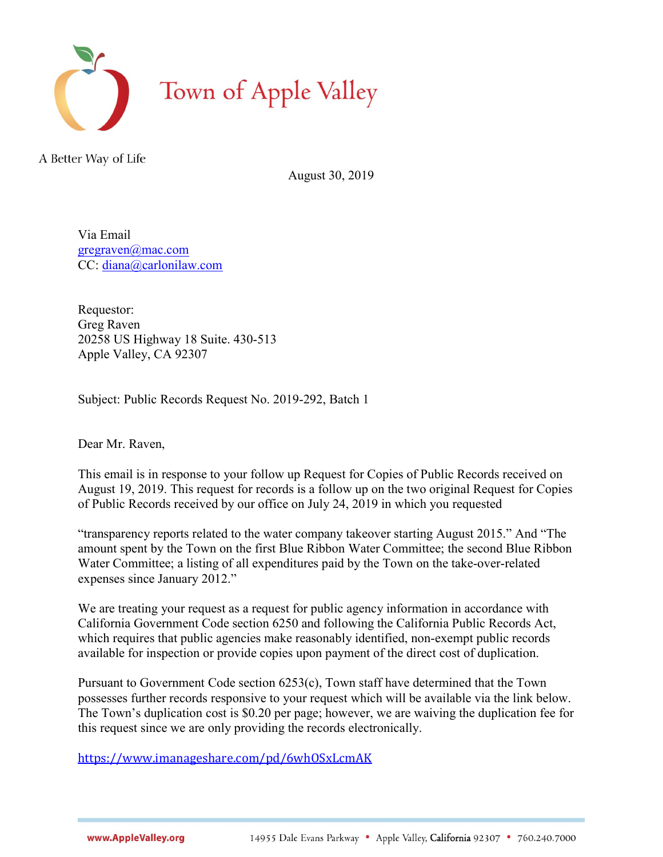

A Better Way of Life

August 30, 2019

Via Email gregraven@mac.com CC: diana@carlonilaw.com

Requestor: Greg Raven 20258 US Highway 18 Suite. 430-513 Apple Valley, CA 92307

Subject: Public Records Request No. 2019-292, Batch 1

Dear Mr. Raven,

This email is in response to your follow up Request for Copies of Public Records received on August 19, 2019. This request for records is a follow up on the two original Request for Copies of Public Records received by our office on July 24, 2019 in which you requested

"transparency reports related to the water company takeover starting August 2015." And "The amount spent by the Town on the first Blue Ribbon Water Committee; the second Blue Ribbon Water Committee; a listing of all expenditures paid by the Town on the take-over-related expenses since January 2012."

We are treating your request as a request for public agency information in accordance with California Government Code section 6250 and following the California Public Records Act, which requires that public agencies make reasonably identified, non-exempt public records available for inspection or provide copies upon payment of the direct cost of duplication.

Pursuant to Government Code section 6253(c), Town staff have determined that the Town possesses further records responsive to your request which will be available via the link below. The Town's duplication cost is \$0.20 per page; however, we are waiving the duplication fee for this request since we are only providing the records electronically.

https://www.imanageshare.com/pd/6whOSxLcmAK